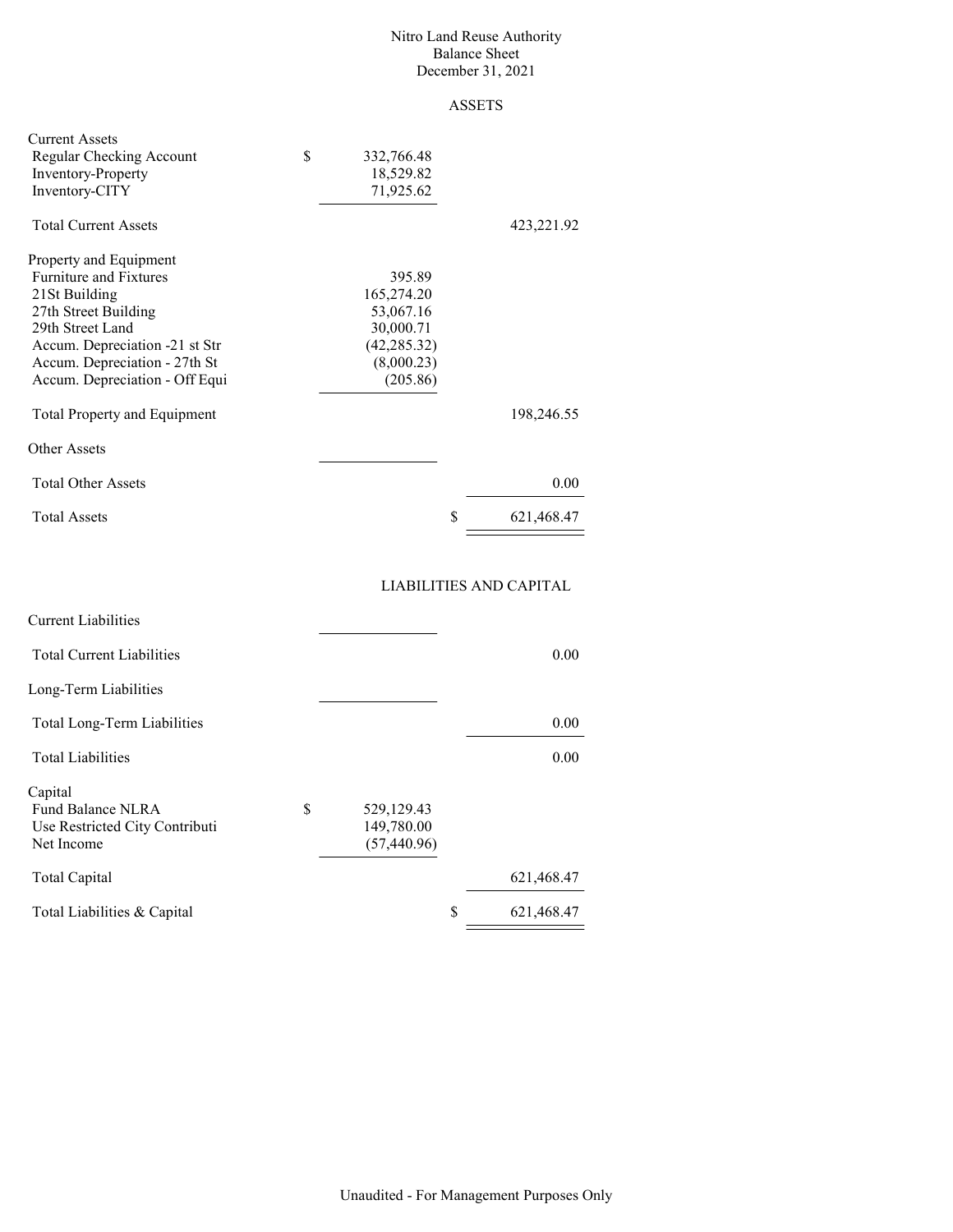#### Nitro Land Reuse Authority Balance Sheet December 31, 2021

## ASSETS

| <b>Current Assets</b><br>Regular Checking Account<br>Inventory-Property<br>Inventory-CITY                                                                                                                                 | \$<br>332,766.48<br>18,529.82<br>71,925.62                                               |                  |
|---------------------------------------------------------------------------------------------------------------------------------------------------------------------------------------------------------------------------|------------------------------------------------------------------------------------------|------------------|
| <b>Total Current Assets</b>                                                                                                                                                                                               |                                                                                          | 423,221.92       |
| Property and Equipment<br><b>Furniture and Fixtures</b><br>21St Building<br>27th Street Building<br>29th Street Land<br>Accum. Depreciation -21 st Str<br>Accum. Depreciation - 27th St<br>Accum. Depreciation - Off Equi | 395.89<br>165,274.20<br>53,067.16<br>30,000.71<br>(42, 285.32)<br>(8,000.23)<br>(205.86) |                  |
| <b>Total Property and Equipment</b>                                                                                                                                                                                       |                                                                                          | 198,246.55       |
| Other Assets                                                                                                                                                                                                              |                                                                                          |                  |
| <b>Total Other Assets</b>                                                                                                                                                                                                 |                                                                                          | 0.00             |
| <b>Total Assets</b>                                                                                                                                                                                                       |                                                                                          | \$<br>621,468.47 |
|                                                                                                                                                                                                                           |                                                                                          |                  |

### LIABILITIES AND CAPITAL

| <b>Current Liabilities</b>       |              |                  |
|----------------------------------|--------------|------------------|
| <b>Total Current Liabilities</b> |              | 0.00             |
| Long-Term Liabilities            |              |                  |
| Total Long-Term Liabilities      |              | 0.00             |
| <b>Total Liabilities</b>         |              | 0.00             |
| Capital                          |              |                  |
| S<br>Fund Balance NLRA           | 529,129.43   |                  |
| Use Restricted City Contributi   | 149,780.00   |                  |
| Net Income                       | (57, 440.96) |                  |
| Total Capital                    |              | 621,468.47       |
| Total Liabilities & Capital      |              | \$<br>621,468.47 |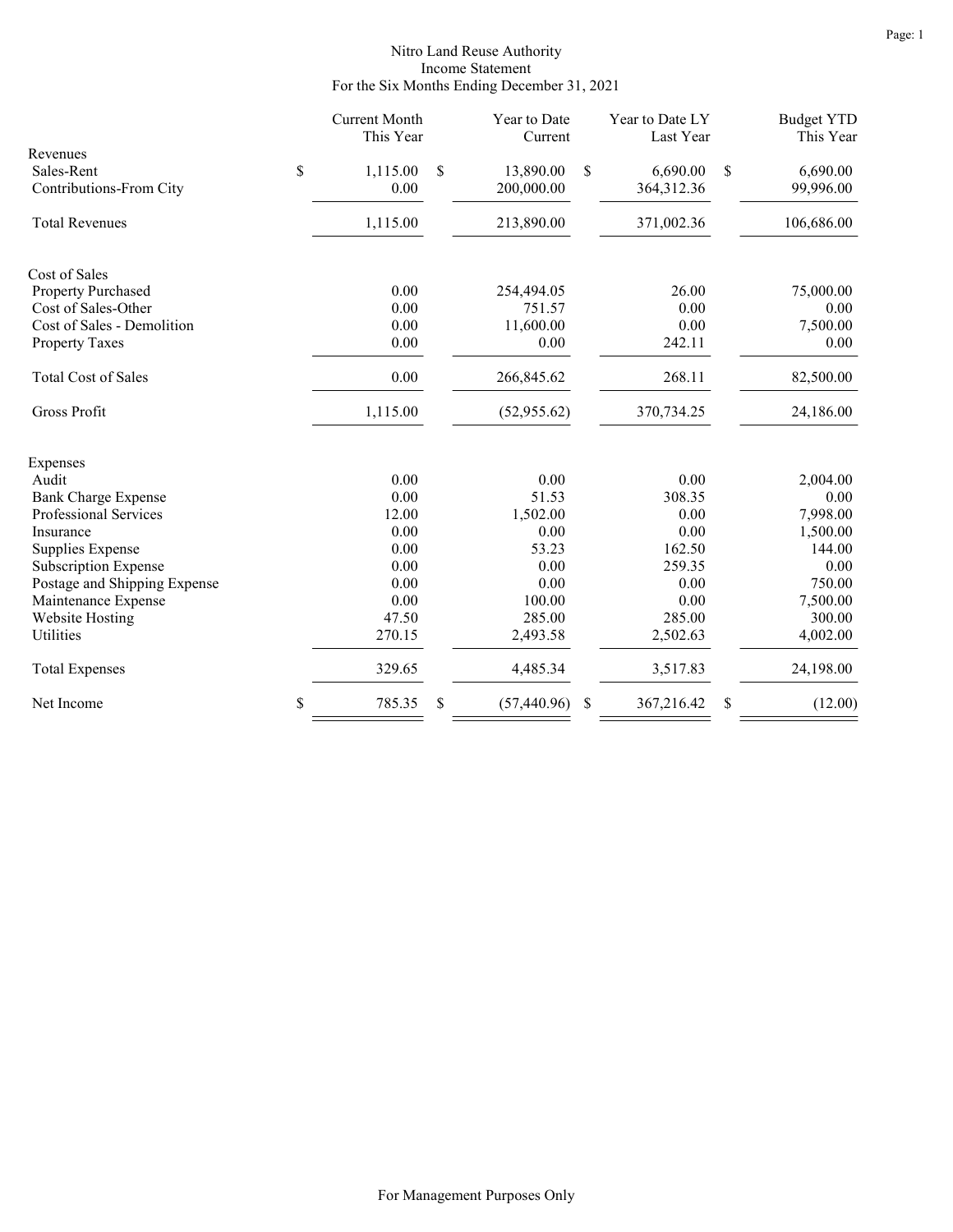#### Nitro Land Reuse Authority Income Statement For the Six Months Ending December 31, 2021

|                              | <b>Current Month</b><br>This Year | Year to Date<br>Current | Year to Date LY<br>Last Year |    | <b>Budget YTD</b><br>This Year |
|------------------------------|-----------------------------------|-------------------------|------------------------------|----|--------------------------------|
| Revenues<br>\$<br>Sales-Rent | 1,115.00                          | \$<br>13,890.00         | \$<br>6,690.00               | S  | 6,690.00                       |
| Contributions-From City      | 0.00                              | 200,000.00              | 364, 312. 36                 |    | 99,996.00                      |
| <b>Total Revenues</b>        | 1,115.00                          | 213,890.00              | 371,002.36                   |    | 106,686.00                     |
| Cost of Sales                |                                   |                         |                              |    |                                |
| Property Purchased           | 0.00                              | 254,494.05              | 26.00                        |    | 75,000.00                      |
| Cost of Sales-Other          | 0.00                              | 751.57                  | 0.00                         |    | 0.00                           |
| Cost of Sales - Demolition   | 0.00                              | 11,600.00               | 0.00                         |    | 7,500.00                       |
| <b>Property Taxes</b>        | 0.00                              | 0.00                    | 242.11                       |    | 0.00                           |
| <b>Total Cost of Sales</b>   | 0.00                              | 266,845.62              | 268.11                       |    | 82,500.00                      |
| Gross Profit                 | 1,115.00                          | (52,955.62)             | 370,734.25                   |    | 24,186.00                      |
| Expenses                     |                                   |                         |                              |    |                                |
| Audit                        | 0.00                              | 0.00                    | 0.00                         |    | 2,004.00                       |
| <b>Bank Charge Expense</b>   | 0.00                              | 51.53                   | 308.35                       |    | 0.00                           |
| Professional Services        | 12.00                             | 1,502.00                | 0.00                         |    | 7,998.00                       |
| Insurance                    | 0.00                              | 0.00                    | 0.00                         |    | 1,500.00                       |
| Supplies Expense             | 0.00                              | 53.23                   | 162.50                       |    | 144.00                         |
| Subscription Expense         | 0.00                              | 0.00                    | 259.35                       |    | 0.00                           |
| Postage and Shipping Expense | 0.00                              | 0.00                    | 0.00                         |    | 750.00                         |
| Maintenance Expense          | 0.00                              | 100.00                  | 0.00                         |    | 7,500.00                       |
| <b>Website Hosting</b>       | 47.50                             | 285.00                  | 285.00                       |    | 300.00                         |
| Utilities                    | 270.15                            | 2,493.58                | 2,502.63                     |    | 4,002.00                       |
| <b>Total Expenses</b>        | 329.65                            | 4,485.34                | 3,517.83                     |    | 24,198.00                      |
| \$<br>Net Income             | 785.35                            | \$<br>(57, 440.96)      | \$<br>367,216.42             | \$ | (12.00)                        |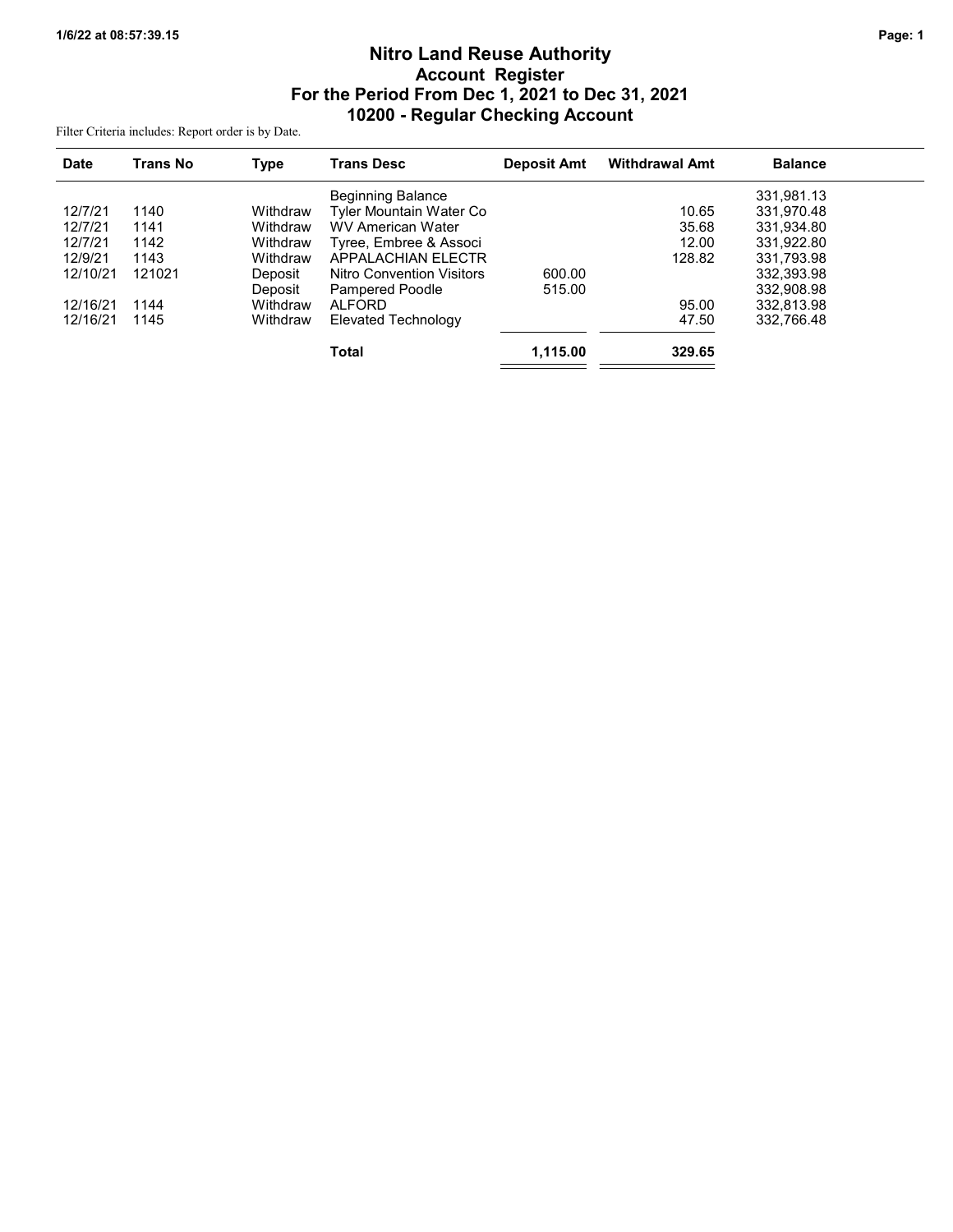# Nitro Land Reuse Authority Account Register For the Period From Dec 1, 2021 to Dec 31, 2021 10200 - Regular Checking Account

Filter Criteria includes: Report order is by Date.

| <b>Date</b> | Trans No | <b>Type</b> | <b>Trans Desc</b>                | <b>Deposit Amt</b> | <b>Withdrawal Amt</b> | <b>Balance</b> |  |
|-------------|----------|-------------|----------------------------------|--------------------|-----------------------|----------------|--|
|             |          |             | <b>Beginning Balance</b>         |                    |                       | 331,981.13     |  |
| 12/7/21     | 1140     | Withdraw    | Tyler Mountain Water Co          |                    | 10.65                 | 331.970.48     |  |
| 12/7/21     | 1141     | Withdraw    | <b>WV American Water</b>         |                    | 35.68                 | 331,934.80     |  |
| 12/7/21     | 1142     | Withdraw    | Tyree, Embree & Associ           |                    | 12.00                 | 331.922.80     |  |
| 12/9/21     | 1143     | Withdraw    | <b>APPALACHIAN ELECTR</b>        |                    | 128.82                | 331,793.98     |  |
| 12/10/21    | 121021   | Deposit     | <b>Nitro Convention Visitors</b> | 600.00             |                       | 332,393.98     |  |
|             |          | Deposit     | Pampered Poodle                  | 515.00             |                       | 332,908.98     |  |
| 12/16/21    | 1144     | Withdraw    | <b>ALFORD</b>                    |                    | 95.00                 | 332.813.98     |  |
| 12/16/21    | 1145     | Withdraw    | Elevated Technology              |                    | 47.50                 | 332.766.48     |  |
|             |          |             | <b>Total</b>                     | 1,115.00           | 329.65                |                |  |